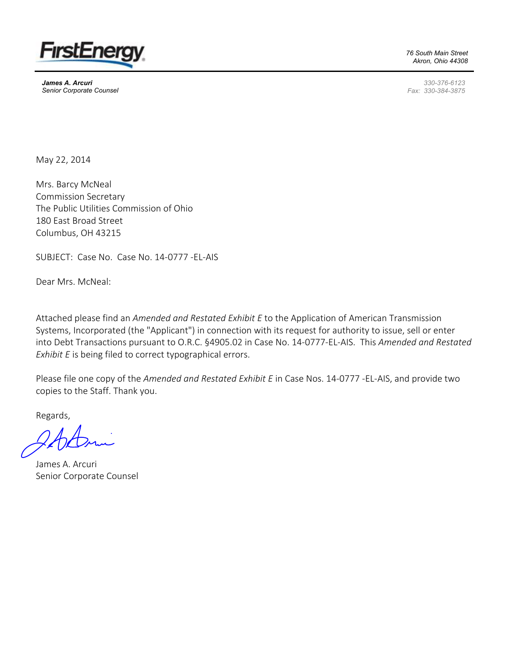

James A. Arcuri Senior Corporate Counsel 76 South Main Street Akron, Ohio 44308

330-376-6123 Fax: 330-384-3875

May 22, 2014

Mrs. Barcy McNeal Commission Secretary The Public Utilities Commission of Ohio 180 East Broad Street Columbus, OH 43215

SUBJECT: Case No. Case No. 14-0777 -EL-AIS

Dear Mrs. McNeal:

Attached please find an Amended and Restated Exhibit E to the Application of American Transmission Systems, Incorporated (the "Applicant") in connection with its request for authority to issue, sell or enter into Debt Transactions pursuant to O.R.C. §4905.02 in Case No. 14-0777-EL-AIS. This Amended and Restated Exhibit E is being filed to correct typographical errors.

Please file one copy of the Amended and Restated Exhibit E in Case Nos. 14-0777 -EL-AIS, and provide two copies to the Staff. Thank you.

Regards,

James A. Arcuri Senior Corporate Counsel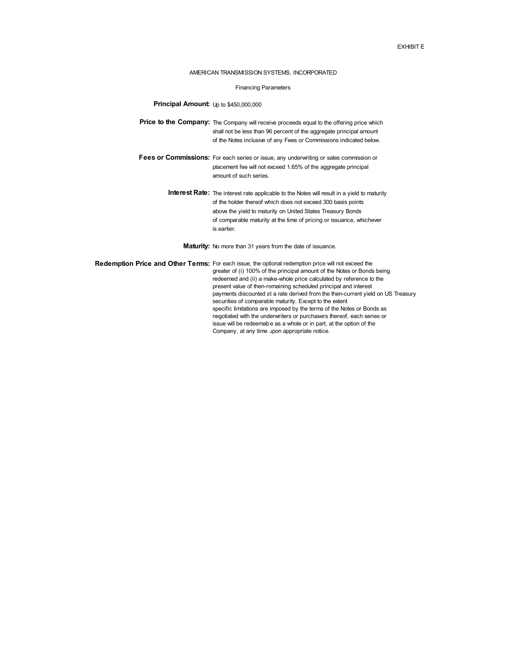## EXHIBIT E

## AMERICAN TRANSMISSION SYSTEMS, INCORPORATED

## Financing Parameters

## Principal Amount: Up to \$450,000,000

- Price to the Company: The Company will receive proceeds equal to the offering price which shall not be less than 96 percent of the aggregate principal amount of the Notes inclusive of any Fees or Commissions indicated below.
- Fees or Commissions: For each series or issue, any underwriting or sales commission or placement fee will not exceed 1.65% of the aggregate principal amount of such series.
	- Interest Rate: The interest rate applicable to the Notes will result in a yield to maturity of the holder thereof which does not exceed 300 basis points above the yield to maturity on United States Treasury Bonds of comparable maturity at the time of pricing or issuance, whichever is earlier.

Maturity: No more than 31 years from the date of issuance.

Redemption Price and Other Terms: For each issue, the optional redemption price will not exceed the greater of (i) 100% of the principal amount of the Notes or Bonds being redeemed and (ii) a make-whole price calculated by reference to the present value of then-remaining scheduled principal and interest payments discounted at a rate derived from the then-current yield on US Treasury securities of comparable maturity. Except to the extent specific limitations are imposed by the terms of the Notes or Bonds as negotiated with the underwriters or purchasers thereof, each series or issue will be redeemable as a whole or in part, at the option of the Company, at any time upon appropriate notice.